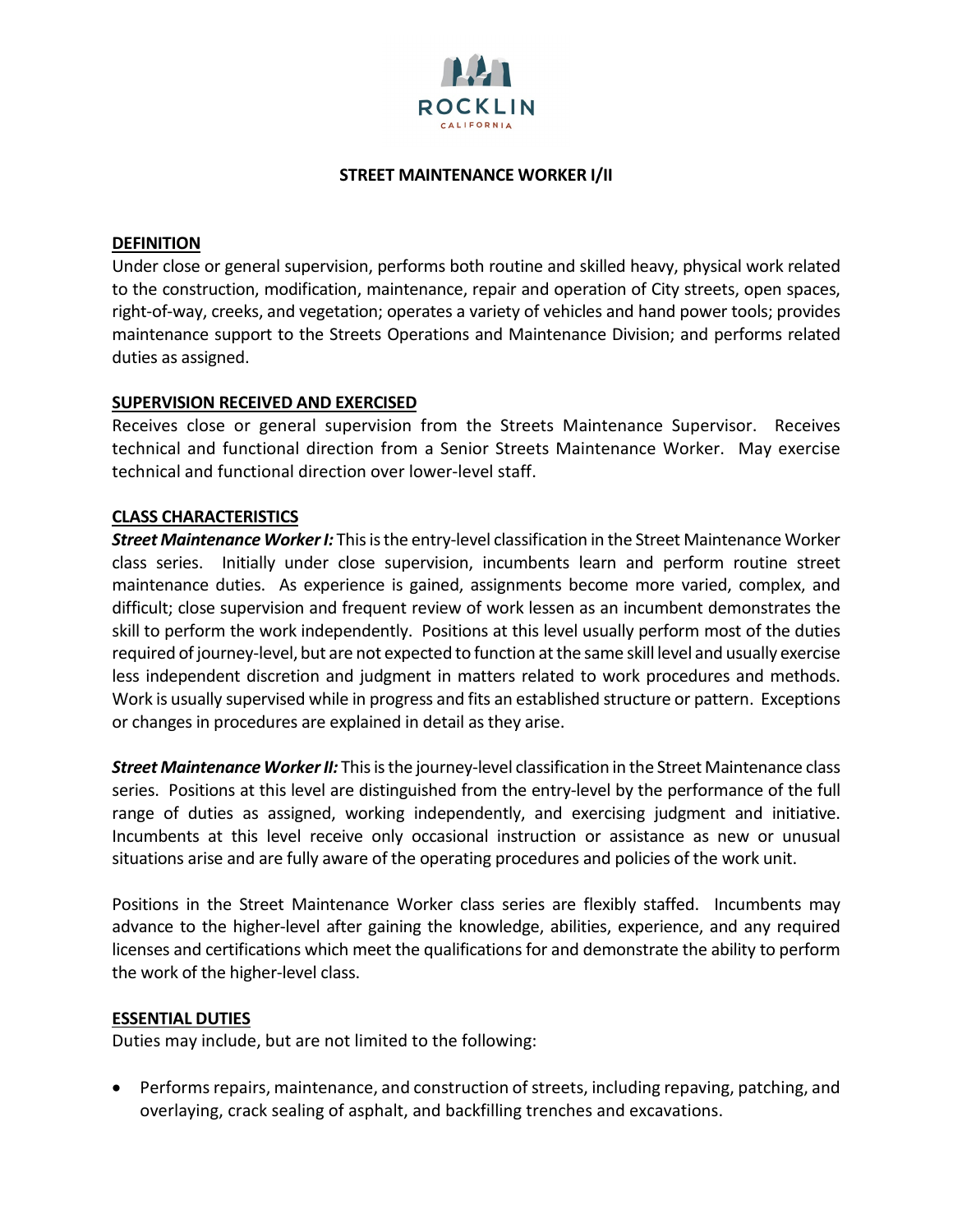

### **STREET MAINTENANCE WORKER I/II**

### **DEFINITION**

Under close or general supervision, performs both routine and skilled heavy, physical work related to the construction, modification, maintenance, repair and operation of City streets, open spaces, right-of-way, creeks, and vegetation; operates a variety of vehicles and hand power tools; provides maintenance support to the Streets Operations and Maintenance Division; and performs related duties as assigned.

# **SUPERVISION RECEIVED AND EXERCISED**

Receives close or general supervision from the Streets Maintenance Supervisor. Receives technical and functional direction from a Senior Streets Maintenance Worker. May exercise technical and functional direction over lower-level staff.

### **CLASS CHARACTERISTICS**

*Street Maintenance Worker I:* This is the entry-level classification in the Street Maintenance Worker class series. Initially under close supervision, incumbents learn and perform routine street maintenance duties. As experience is gained, assignments become more varied, complex, and difficult; close supervision and frequent review of work lessen as an incumbent demonstrates the skill to perform the work independently. Positions at this level usually perform most of the duties required of journey-level, but are not expected to function at the same skill level and usually exercise less independent discretion and judgment in matters related to work procedures and methods. Work is usually supervised while in progress and fits an established structure or pattern. Exceptions or changes in procedures are explained in detail as they arise.

*Street Maintenance Worker II:* This is the journey-level classification in the Street Maintenance class series. Positions at this level are distinguished from the entry-level by the performance of the full range of duties as assigned, working independently, and exercising judgment and initiative. Incumbents at this level receive only occasional instruction or assistance as new or unusual situations arise and are fully aware of the operating procedures and policies of the work unit.

Positions in the Street Maintenance Worker class series are flexibly staffed. Incumbents may advance to the higher-level after gaining the knowledge, abilities, experience, and any required licenses and certifications which meet the qualifications for and demonstrate the ability to perform the work of the higher-level class.

#### **ESSENTIAL DUTIES**

Duties may include, but are not limited to the following:

• Performs repairs, maintenance, and construction of streets, including repaving, patching, and overlaying, crack sealing of asphalt, and backfilling trenches and excavations.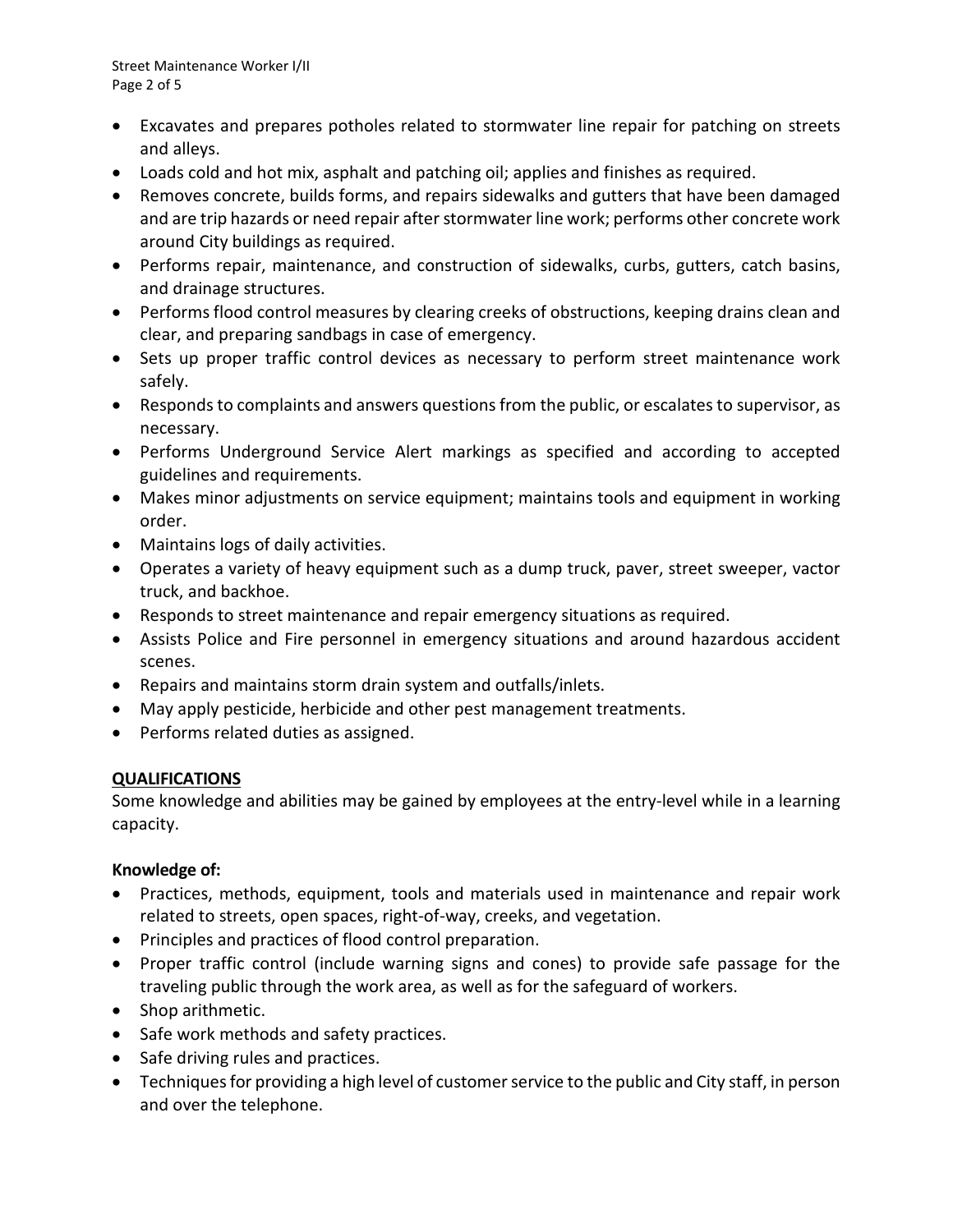- Excavates and prepares potholes related to stormwater line repair for patching on streets and alleys.
- Loads cold and hot mix, asphalt and patching oil; applies and finishes as required.
- Removes concrete, builds forms, and repairs sidewalks and gutters that have been damaged and are trip hazards or need repair after stormwater line work; performs other concrete work around City buildings as required.
- Performs repair, maintenance, and construction of sidewalks, curbs, gutters, catch basins, and drainage structures.
- Performs flood control measures by clearing creeks of obstructions, keeping drains clean and clear, and preparing sandbags in case of emergency.
- Sets up proper traffic control devices as necessary to perform street maintenance work safely.
- Responds to complaints and answers questions from the public, or escalates to supervisor, as necessary.
- Performs Underground Service Alert markings as specified and according to accepted guidelines and requirements.
- Makes minor adjustments on service equipment; maintains tools and equipment in working order.
- Maintains logs of daily activities.
- Operates a variety of heavy equipment such as a dump truck, paver, street sweeper, vactor truck, and backhoe.
- Responds to street maintenance and repair emergency situations as required.
- Assists Police and Fire personnel in emergency situations and around hazardous accident scenes.
- Repairs and maintains storm drain system and outfalls/inlets.
- May apply pesticide, herbicide and other pest management treatments.
- Performs related duties as assigned.

# **QUALIFICATIONS**

Some knowledge and abilities may be gained by employees at the entry-level while in a learning capacity.

# **Knowledge of:**

- Practices, methods, equipment, tools and materials used in maintenance and repair work related to streets, open spaces, right-of-way, creeks, and vegetation.
- Principles and practices of flood control preparation.
- Proper traffic control (include warning signs and cones) to provide safe passage for the traveling public through the work area, as well as for the safeguard of workers.
- Shop arithmetic.
- Safe work methods and safety practices.
- Safe driving rules and practices.
- Techniques for providing a high level of customer service to the public and City staff, in person and over the telephone.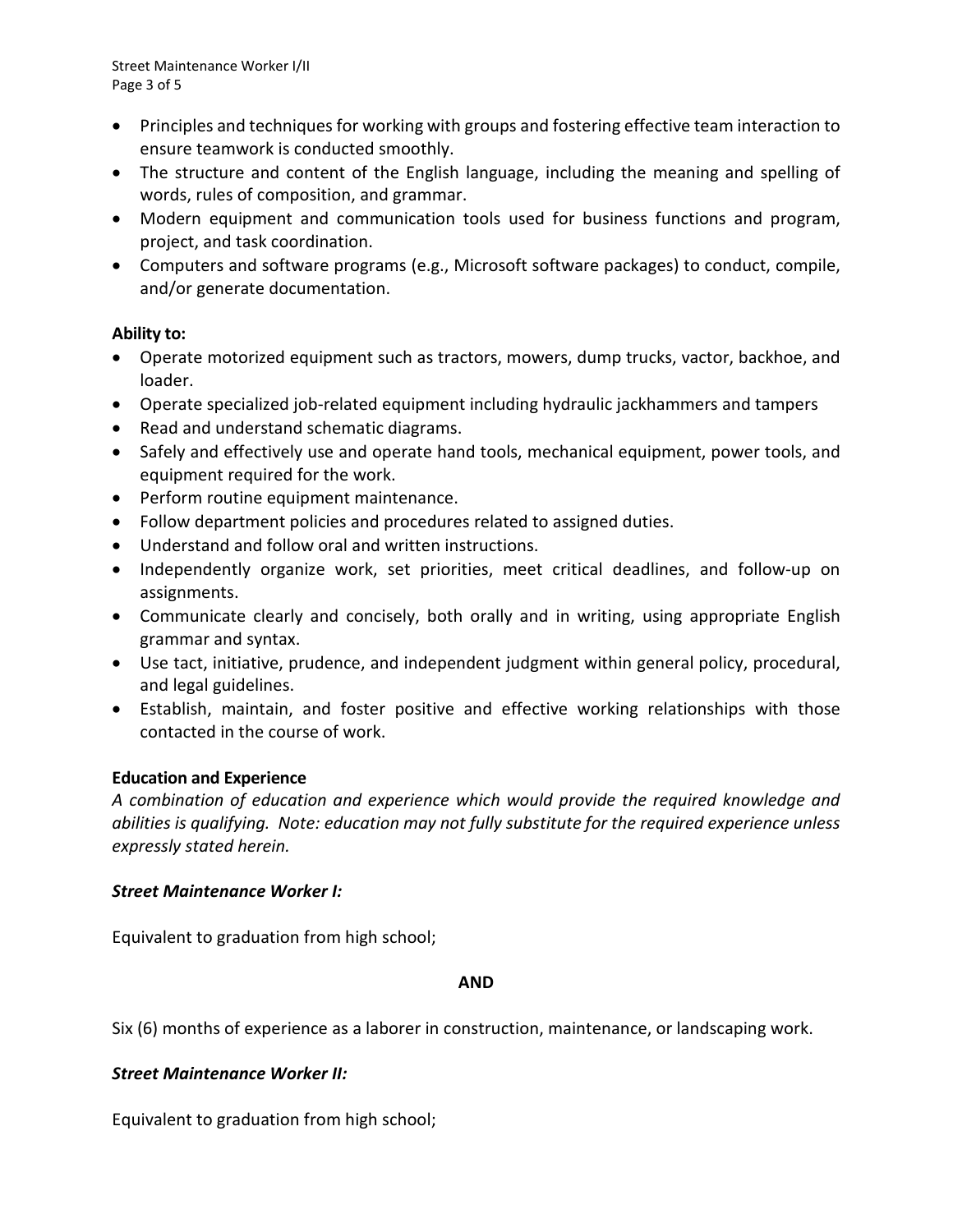- Principles and techniques for working with groups and fostering effective team interaction to ensure teamwork is conducted smoothly.
- The structure and content of the English language, including the meaning and spelling of words, rules of composition, and grammar.
- Modern equipment and communication tools used for business functions and program, project, and task coordination.
- Computers and software programs (e.g., Microsoft software packages) to conduct, compile, and/or generate documentation.

# **Ability to:**

- Operate motorized equipment such as tractors, mowers, dump trucks, vactor, backhoe, and loader.
- Operate specialized job-related equipment including hydraulic jackhammers and tampers
- Read and understand schematic diagrams.
- Safely and effectively use and operate hand tools, mechanical equipment, power tools, and equipment required for the work.
- Perform routine equipment maintenance.
- Follow department policies and procedures related to assigned duties.
- Understand and follow oral and written instructions.
- Independently organize work, set priorities, meet critical deadlines, and follow-up on assignments.
- Communicate clearly and concisely, both orally and in writing, using appropriate English grammar and syntax.
- Use tact, initiative, prudence, and independent judgment within general policy, procedural, and legal guidelines.
- Establish, maintain, and foster positive and effective working relationships with those contacted in the course of work.

# **Education and Experience**

*A combination of education and experience which would provide the required knowledge and abilities is qualifying. Note: education may not fully substitute for the required experience unless expressly stated herein.*

# *Street Maintenance Worker I:*

Equivalent to graduation from high school;

#### **AND**

Six (6) months of experience as a laborer in construction, maintenance, or landscaping work.

# *Street Maintenance Worker II:*

Equivalent to graduation from high school;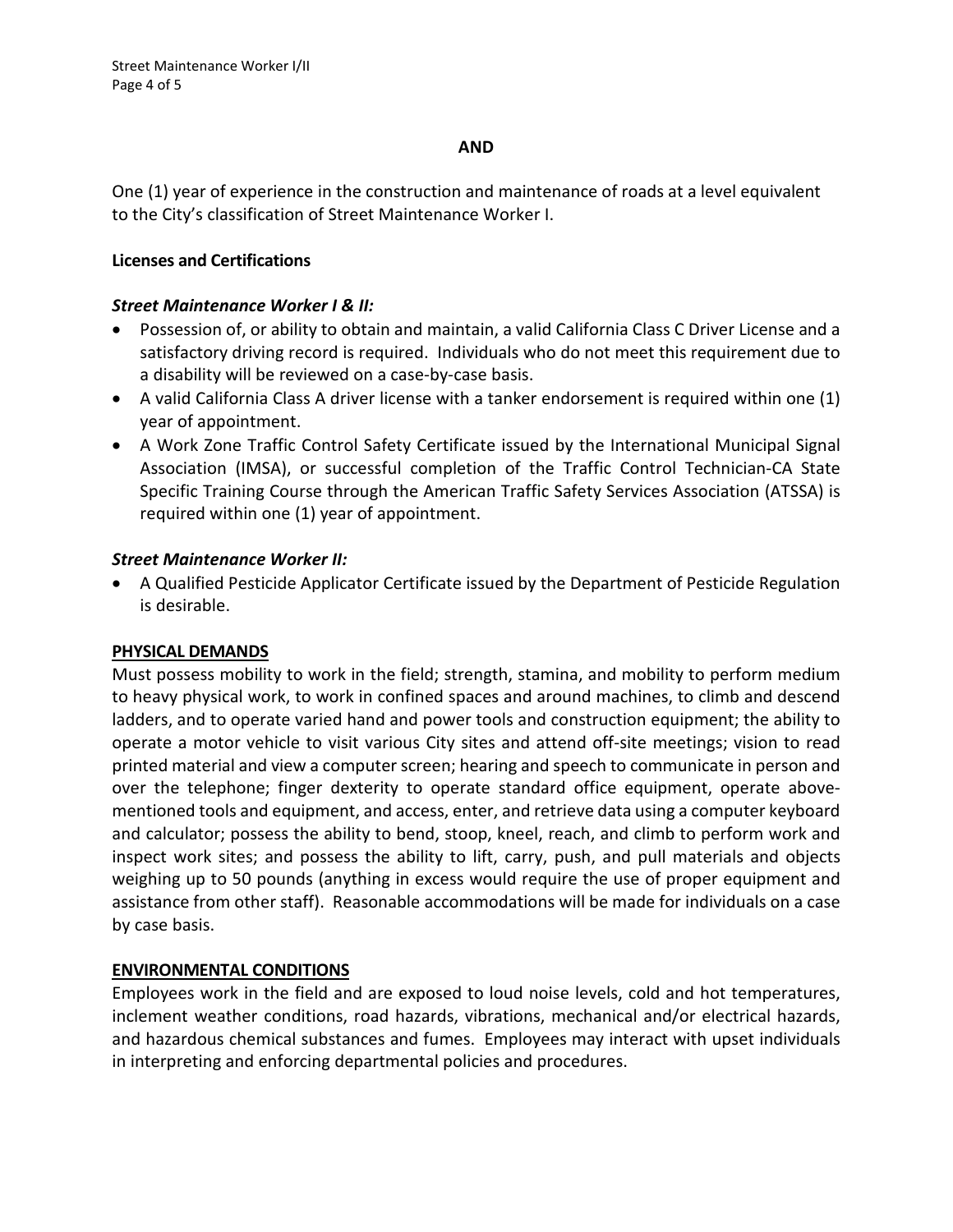# **AND**

One (1) year of experience in the construction and maintenance of roads at a level equivalent to the City's classification of Street Maintenance Worker I.

# **Licenses and Certifications**

# *Street Maintenance Worker I & II:*

- Possession of, or ability to obtain and maintain, a valid California Class C Driver License and a satisfactory driving record is required. Individuals who do not meet this requirement due to a disability will be reviewed on a case-by-case basis.
- A valid California Class A driver license with a tanker endorsement is required within one (1) year of appointment.
- A Work Zone Traffic Control Safety Certificate issued by the International Municipal Signal Association (IMSA), or successful completion of the Traffic Control Technician-CA State Specific Training Course through the American Traffic Safety Services Association (ATSSA) is required within one (1) year of appointment.

# *Street Maintenance Worker II:*

• A Qualified Pesticide Applicator Certificate issued by the Department of Pesticide Regulation is desirable.

# **PHYSICAL DEMANDS**

Must possess mobility to work in the field; strength, stamina, and mobility to perform medium to heavy physical work, to work in confined spaces and around machines, to climb and descend ladders, and to operate varied hand and power tools and construction equipment; the ability to operate a motor vehicle to visit various City sites and attend off-site meetings; vision to read printed material and view a computer screen; hearing and speech to communicate in person and over the telephone; finger dexterity to operate standard office equipment, operate abovementioned tools and equipment, and access, enter, and retrieve data using a computer keyboard and calculator; possess the ability to bend, stoop, kneel, reach, and climb to perform work and inspect work sites; and possess the ability to lift, carry, push, and pull materials and objects weighing up to 50 pounds (anything in excess would require the use of proper equipment and assistance from other staff). Reasonable accommodations will be made for individuals on a case by case basis.

# **ENVIRONMENTAL CONDITIONS**

Employees work in the field and are exposed to loud noise levels, cold and hot temperatures, inclement weather conditions, road hazards, vibrations, mechanical and/or electrical hazards, and hazardous chemical substances and fumes. Employees may interact with upset individuals in interpreting and enforcing departmental policies and procedures.